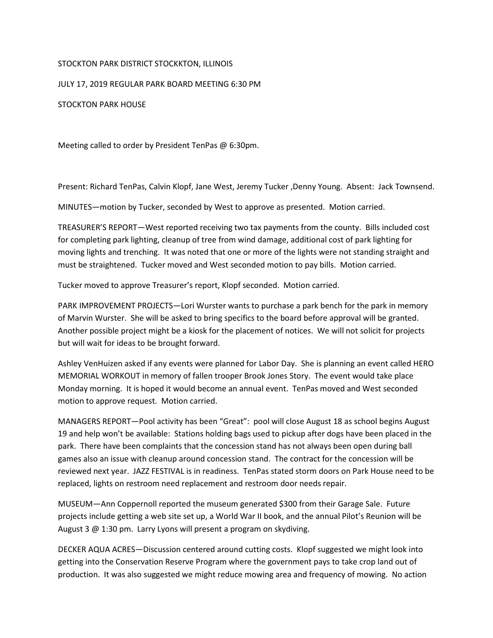## STOCKTON PARK DISTRICT STOCKKTON, ILLINOIS

JULY 17, 2019 REGULAR PARK BOARD MEETING 6:30 PM

STOCKTON PARK HOUSE

Meeting called to order by President TenPas @ 6:30pm.

Present: Richard TenPas, Calvin Klopf, Jane West, Jeremy Tucker ,Denny Young. Absent: Jack Townsend.

MINUTES—motion by Tucker, seconded by West to approve as presented. Motion carried.

TREASURER'S REPORT—West reported receiving two tax payments from the county. Bills included cost for completing park lighting, cleanup of tree from wind damage, additional cost of park lighting for moving lights and trenching. It was noted that one or more of the lights were not standing straight and must be straightened. Tucker moved and West seconded motion to pay bills. Motion carried.

Tucker moved to approve Treasurer's report, Klopf seconded. Motion carried.

PARK IMPROVEMENT PROJECTS—Lori Wurster wants to purchase a park bench for the park in memory of Marvin Wurster. She will be asked to bring specifics to the board before approval will be granted. Another possible project might be a kiosk for the placement of notices. We will not solicit for projects but will wait for ideas to be brought forward.

Ashley VenHuizen asked if any events were planned for Labor Day. She is planning an event called HERO MEMORIAL WORKOUT in memory of fallen trooper Brook Jones Story. The event would take place Monday morning. It is hoped it would become an annual event. TenPas moved and West seconded motion to approve request. Motion carried.

MANAGERS REPORT—Pool activity has been "Great": pool will close August 18 as school begins August 19 and help won't be available: Stations holding bags used to pickup after dogs have been placed in the park. There have been complaints that the concession stand has not always been open during ball games also an issue with cleanup around concession stand. The contract for the concession will be reviewed next year. JAZZ FESTIVAL is in readiness. TenPas stated storm doors on Park House need to be replaced, lights on restroom need replacement and restroom door needs repair.

MUSEUM—Ann Coppernoll reported the museum generated \$300 from their Garage Sale. Future projects include getting a web site set up, a World War II book, and the annual Pilot's Reunion will be August 3  $\omega$  1:30 pm. Larry Lyons will present a program on skydiving.

DECKER AQUA ACRES—Discussion centered around cutting costs. Klopf suggested we might look into getting into the Conservation Reserve Program where the government pays to take crop land out of production. It was also suggested we might reduce mowing area and frequency of mowing. No action